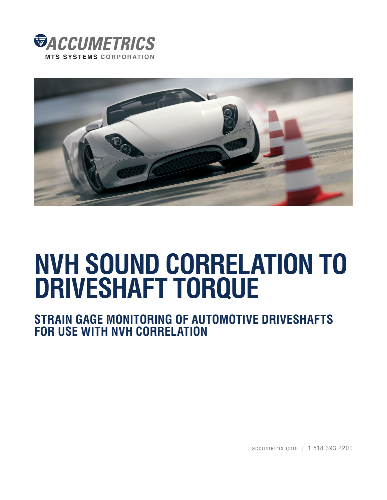



# **NVH SOUND CORRELATION TO DRIVESHAFT TORQUE**

**STRAIN GAGE MONITORING OF AUTOMOTIVE DRIVESHAFTS FOR USE WITH NVH CORRELATION**

accumetrix.com | 1 518 393 2200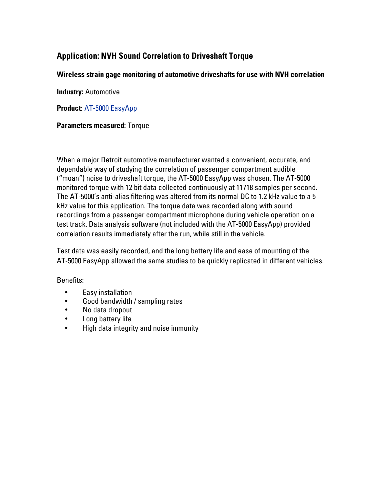## **Application: NVH Sound Correlation to Driveshaft Torque**

### **Wireless strain gage monitoring of automotive driveshafts for use with NVH correlation**

**Industry:** Automotive

**Product:** AT-5000 EasyApp

#### **Paramete[rs measured:](http://www.accumetrix.com/SingleChannelTelemetry/AT5000)** Torque

When a major Detroit automotive manufacturer wanted a convenient, accurate, and dependable way of studying the correlation of passenger compartment audible ("moan") noise to driveshaft torque, the AT-5000 EasyApp was chosen. The AT-5000 monitored torque with 12 bit data collected continuously at 11718 samples per second. The AT-5000's anti-alias filtering was altered from its normal DC to 1.2 kHz value to a 5 kHz value for this application. The torque data was recorded along with sound recordings from a passenger compartment microphone during vehicle operation on a test track. Data analysis software (not included with the AT-5000 EasyApp) provided correlation results immediately after the run, while still in the vehicle.

Test data was easily recorded, and the long battery life and ease of mounting of the AT-5000 EasyApp allowed the same studies to be quickly replicated in different vehicles.

#### Benefits:

- Easy installation
- Good bandwidth / sampling rates
- No data dropout
- Long battery life
- High data integrity and noise immunity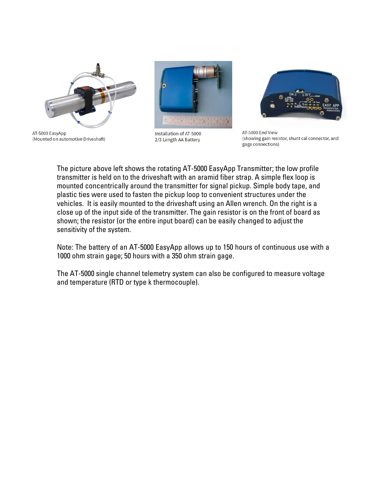





Installation of AT-5000 2/3 Length AA Battery



AT-5000 End View (showing gain resistor, shunt cal connector, and gage connections)

The picture above left shows the rotating AT-5000 EasyApp Transmitter; the low profile transmitter is held on to the driveshaft with an aramid fiber strap. A simple flex loop is mounted concentrically around the transmitter for signal pickup. Simple body tape, and plastic ties were used to fasten the pickup loop to convenient structures under the vehicles. It is easily mounted to the driveshaft using an Allen wrench. On the right is a close up of the input side of the transmitter. The gain resistor is on the front of board as shown; the resistor (or the entire input board) can be easily changed to adjust the sensitivity of the system.

Note: The battery of an AT-5000 EasyApp allows up to 150 hours of continuous use with a 1000 ohm strain gage; 50 hours with a 350 ohm strain gage.

The AT-5000 single channel telemetry system can also be configured to measure voltage and temperature (RTD or type k thermocouple).